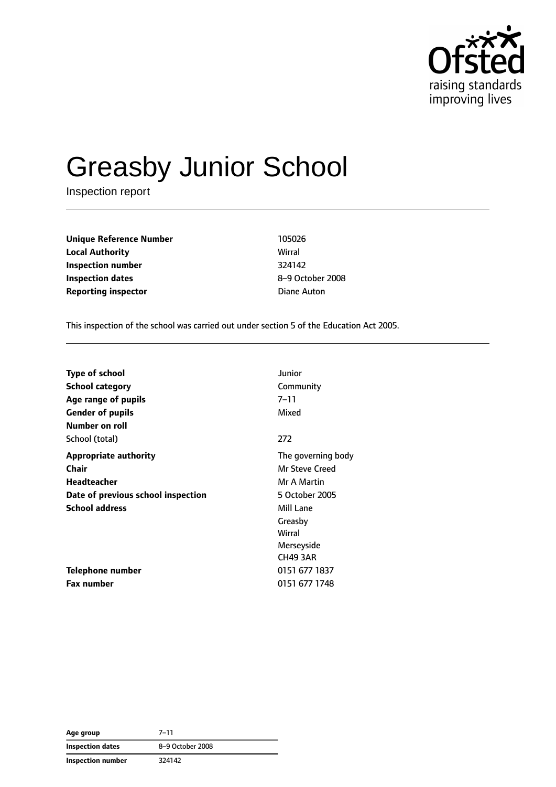

# Greasby Junior School

Inspection report

**Unique Reference Number** 105026 **Local Authority** Wirral **Inspection number** 324142 **Inspection dates** 8–9 October 2008 **Reporting inspector CONFIDENTIAL CONFIDENTIAL CONFIDENTIAL Diane Auton** 

This inspection of the school was carried out under section 5 of the Education Act 2005.

| <b>Type of school</b>              | Junior             |
|------------------------------------|--------------------|
| <b>School category</b>             | Community          |
| Age range of pupils                | $7 - 11$           |
| <b>Gender of pupils</b>            | Mixed              |
| Number on roll                     |                    |
| School (total)                     | 272                |
| <b>Appropriate authority</b>       | The governing body |
| Chair                              | Mr Steve Creed     |
| Headteacher                        | Mr A Martin        |
| Date of previous school inspection | 5 October 2005     |
| <b>School address</b>              | Mill Lane          |
|                                    | Greasby            |
|                                    | Wirral             |
|                                    | Merseyside         |
|                                    | <b>CH49 3AR</b>    |
| <b>Telephone number</b>            | 0151 677 1837      |
| <b>Fax number</b>                  | 0151 677 1748      |

| Age group               | $7 - 11$         |
|-------------------------|------------------|
| <b>Inspection dates</b> | 8-9 October 2008 |
| Inspection number       | 324142           |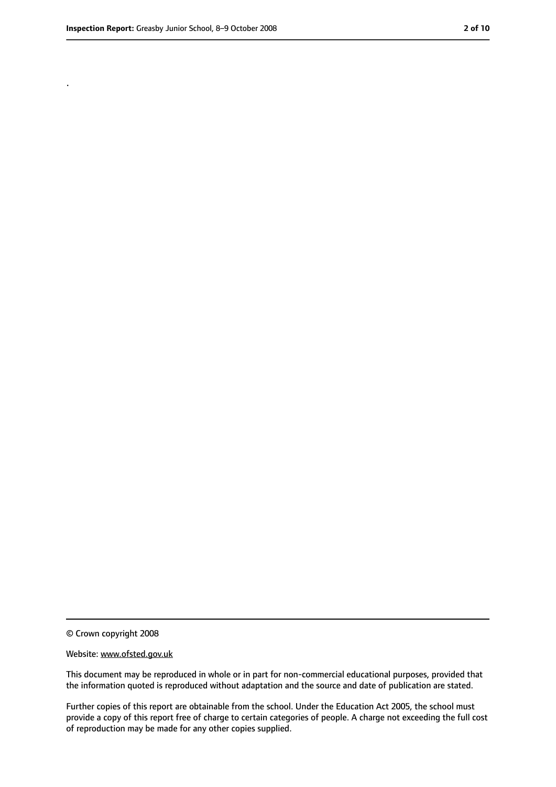.

<sup>©</sup> Crown copyright 2008

Website: www.ofsted.gov.uk

This document may be reproduced in whole or in part for non-commercial educational purposes, provided that the information quoted is reproduced without adaptation and the source and date of publication are stated.

Further copies of this report are obtainable from the school. Under the Education Act 2005, the school must provide a copy of this report free of charge to certain categories of people. A charge not exceeding the full cost of reproduction may be made for any other copies supplied.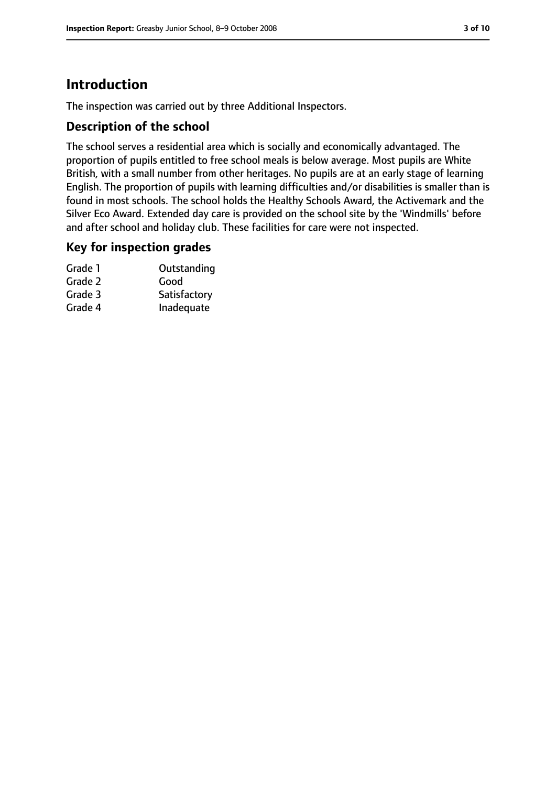# **Introduction**

The inspection was carried out by three Additional Inspectors.

## **Description of the school**

The school serves a residential area which is socially and economically advantaged. The proportion of pupils entitled to free school meals is below average. Most pupils are White British, with a small number from other heritages. No pupils are at an early stage of learning English. The proportion of pupils with learning difficulties and/or disabilities is smaller than is found in most schools. The school holds the Healthy Schools Award, the Activemark and the Silver Eco Award. Extended day care is provided on the school site by the 'Windmills' before and after school and holiday club. These facilities for care were not inspected.

#### **Key for inspection grades**

| Grade 1 | Outstanding  |
|---------|--------------|
| Grade 2 | Good         |
| Grade 3 | Satisfactory |
| Grade 4 | Inadequate   |
|         |              |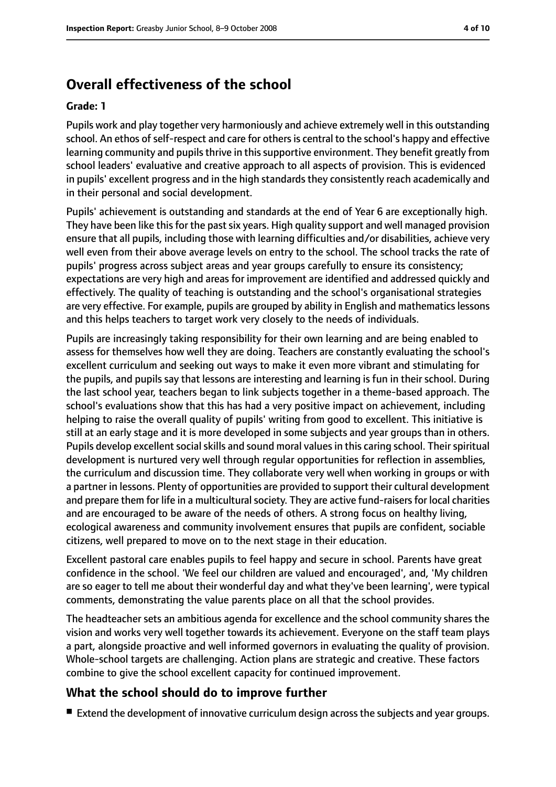# **Overall effectiveness of the school**

#### **Grade: 1**

Pupils work and play together very harmoniously and achieve extremely well in this outstanding school. An ethos of self-respect and care for others is central to the school's happy and effective learning community and pupils thrive in this supportive environment. They benefit greatly from school leaders' evaluative and creative approach to all aspects of provision. This is evidenced in pupils' excellent progress and in the high standards they consistently reach academically and in their personal and social development.

Pupils' achievement is outstanding and standards at the end of Year 6 are exceptionally high. They have been like this for the past six years. High quality support and well managed provision ensure that all pupils, including those with learning difficulties and/or disabilities, achieve very well even from their above average levels on entry to the school. The school tracks the rate of pupils' progress across subject areas and year groups carefully to ensure its consistency; expectations are very high and areas for improvement are identified and addressed quickly and effectively. The quality of teaching is outstanding and the school's organisational strategies are very effective. For example, pupils are grouped by ability in English and mathematicslessons and this helps teachers to target work very closely to the needs of individuals.

Pupils are increasingly taking responsibility for their own learning and are being enabled to assess for themselves how well they are doing. Teachers are constantly evaluating the school's excellent curriculum and seeking out ways to make it even more vibrant and stimulating for the pupils, and pupils say that lessons are interesting and learning is fun in their school. During the last school year, teachers began to link subjects together in a theme-based approach. The school's evaluations show that this has had a very positive impact on achievement, including helping to raise the overall quality of pupils' writing from good to excellent. This initiative is still at an early stage and it is more developed in some subjects and year groups than in others. Pupils develop excellent social skills and sound moral values in this caring school. Their spiritual development is nurtured very well through regular opportunities for reflection in assemblies, the curriculum and discussion time. They collaborate very well when working in groups or with a partner in lessons. Plenty of opportunities are provided to support their cultural development and prepare them for life in a multicultural society. They are active fund-raisers for local charities and are encouraged to be aware of the needs of others. A strong focus on healthy living, ecological awareness and community involvement ensures that pupils are confident, sociable citizens, well prepared to move on to the next stage in their education.

Excellent pastoral care enables pupils to feel happy and secure in school. Parents have great confidence in the school. 'We feel our children are valued and encouraged', and, 'My children are so eager to tell me about their wonderful day and what they've been learning', were typical comments, demonstrating the value parents place on all that the school provides.

The headteacher sets an ambitious agenda for excellence and the school community shares the vision and works very well together towards its achievement. Everyone on the staff team plays a part, alongside proactive and well informed governors in evaluating the quality of provision. Whole-school targets are challenging. Action plans are strategic and creative. These factors combine to give the school excellent capacity for continued improvement.

## **What the school should do to improve further**

■ Extend the development of innovative curriculum design across the subjects and year groups.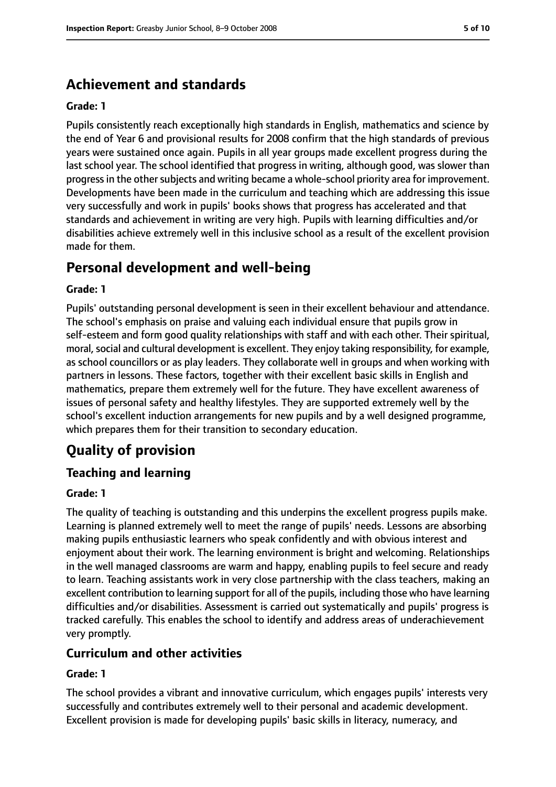# **Achievement and standards**

#### **Grade: 1**

Pupils consistently reach exceptionally high standards in English, mathematics and science by the end of Year 6 and provisional results for 2008 confirm that the high standards of previous years were sustained once again. Pupils in all year groups made excellent progress during the last school year. The school identified that progress in writing, although good, was slower than progress in the other subjects and writing became a whole-school priority area for improvement. Developments have been made in the curriculum and teaching which are addressing this issue very successfully and work in pupils' books shows that progress has accelerated and that standards and achievement in writing are very high. Pupils with learning difficulties and/or disabilities achieve extremely well in this inclusive school as a result of the excellent provision made for them.

# **Personal development and well-being**

#### **Grade: 1**

Pupils' outstanding personal development is seen in their excellent behaviour and attendance. The school's emphasis on praise and valuing each individual ensure that pupils grow in self-esteem and form good quality relationships with staff and with each other. Their spiritual, moral, social and cultural development is excellent. They enjoy taking responsibility, for example, as school councillors or as play leaders. They collaborate well in groups and when working with partners in lessons. These factors, together with their excellent basic skills in English and mathematics, prepare them extremely well for the future. They have excellent awareness of issues of personal safety and healthy lifestyles. They are supported extremely well by the school's excellent induction arrangements for new pupils and by a well designed programme, which prepares them for their transition to secondary education.

# **Quality of provision**

## **Teaching and learning**

#### **Grade: 1**

The quality of teaching is outstanding and this underpins the excellent progress pupils make. Learning is planned extremely well to meet the range of pupils' needs. Lessons are absorbing making pupils enthusiastic learners who speak confidently and with obvious interest and enjoyment about their work. The learning environment is bright and welcoming. Relationships in the well managed classrooms are warm and happy, enabling pupils to feel secure and ready to learn. Teaching assistants work in very close partnership with the class teachers, making an excellent contribution to learning support for all of the pupils, including those who have learning difficulties and/or disabilities. Assessment is carried out systematically and pupils' progress is tracked carefully. This enables the school to identify and address areas of underachievement very promptly.

#### **Curriculum and other activities**

#### **Grade: 1**

The school provides a vibrant and innovative curriculum, which engages pupils' interests very successfully and contributes extremely well to their personal and academic development. Excellent provision is made for developing pupils' basic skills in literacy, numeracy, and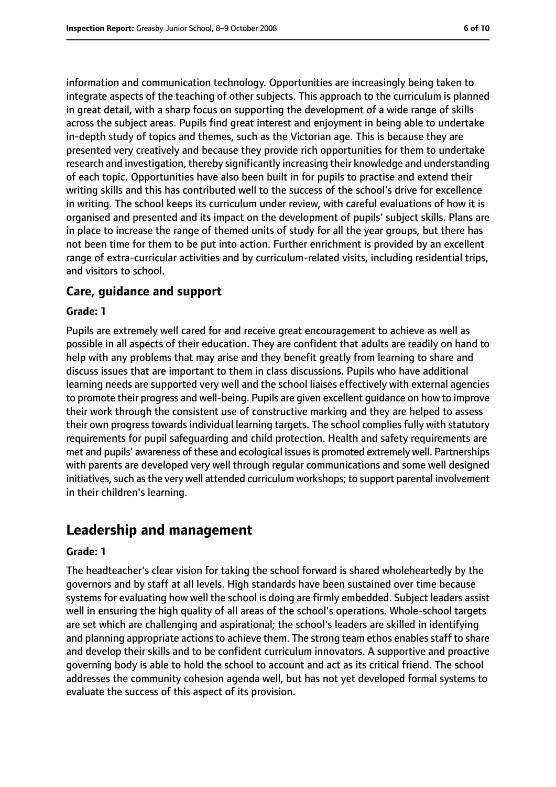information and communication technology. Opportunities are increasingly being taken to integrate aspects of the teaching of other subjects. This approach to the curriculum is planned in great detail, with a sharp focus on supporting the development of a wide range of skills across the subject areas. Pupils find great interest and enjoyment in being able to undertake in-depth study of topics and themes, such as the Victorian age. This is because they are presented very creatively and because they provide rich opportunities for them to undertake research and investigation, thereby significantly increasing their knowledge and understanding of each topic. Opportunities have also been built in for pupils to practise and extend their writing skills and this has contributed well to the success of the school's drive for excellence in writing. The school keeps its curriculum under review, with careful evaluations of how it is organised and presented and its impact on the development of pupils' subject skills. Plans are in place to increase the range of themed units of study for all the year groups, but there has not been time for them to be put into action. Further enrichment is provided by an excellent range of extra-curricular activities and by curriculum-related visits, including residential trips, and visitors to school.

#### **Care, guidance and support**

#### **Grade: 1**

Pupils are extremely well cared for and receive great encouragement to achieve as well as possible in all aspects of their education. They are confident that adults are readily on hand to help with any problems that may arise and they benefit greatly from learning to share and discuss issues that are important to them in class discussions. Pupils who have additional learning needs are supported very well and the school liaises effectively with external agencies to promote their progress and well-being. Pupils are given excellent guidance on how to improve their work through the consistent use of constructive marking and they are helped to assess their own progress towards individual learning targets. The school complies fully with statutory requirements for pupil safeguarding and child protection. Health and safety requirements are met and pupils' awareness of these and ecological issuesis promoted extremely well. Partnerships with parents are developed very well through regular communications and some well designed initiatives, such as the very well attended curriculum workshops; to support parental involvement in their children's learning.

# **Leadership and management**

#### **Grade: 1**

The headteacher's clear vision for taking the school forward is shared wholeheartedly by the governors and by staff at all levels. High standards have been sustained over time because systems for evaluating how well the school is doing are firmly embedded. Subject leaders assist well in ensuring the high quality of all areas of the school's operations. Whole-school targets are set which are challenging and aspirational; the school's leaders are skilled in identifying and planning appropriate actions to achieve them. The strong team ethos enables staff to share and develop their skills and to be confident curriculum innovators. A supportive and proactive governing body is able to hold the school to account and act as its critical friend. The school addresses the community cohesion agenda well, but has not yet developed formal systems to evaluate the success of this aspect of its provision.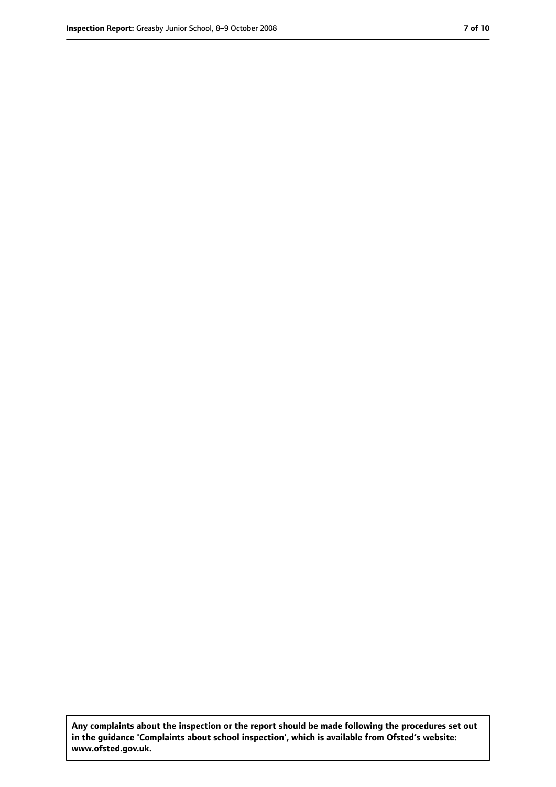**Any complaints about the inspection or the report should be made following the procedures set out in the guidance 'Complaints about school inspection', which is available from Ofsted's website: www.ofsted.gov.uk.**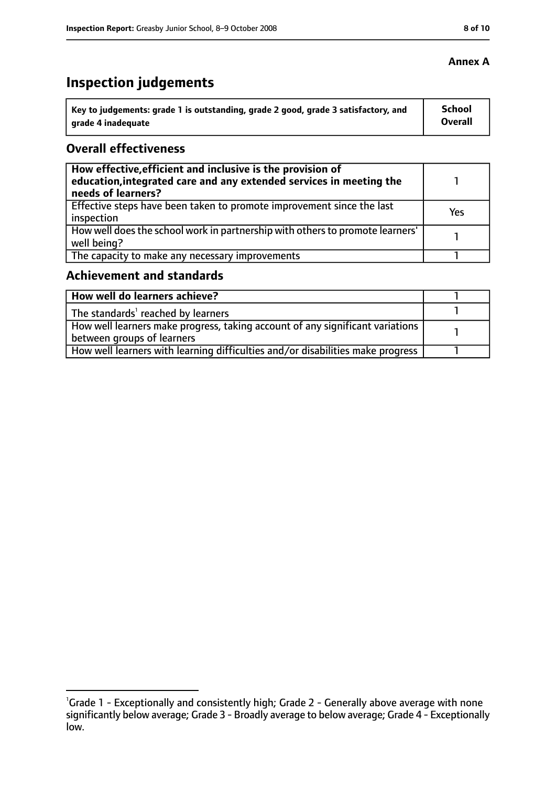# **Inspection judgements**

| ˈ Key to judgements: grade 1 is outstanding, grade 2 good, grade 3 satisfactory, and | <b>School</b>  |
|--------------------------------------------------------------------------------------|----------------|
| arade 4 inadequate                                                                   | <b>Overall</b> |

## **Overall effectiveness**

| How effective, efficient and inclusive is the provision of<br>education, integrated care and any extended services in meeting the<br>needs of learners? |     |
|---------------------------------------------------------------------------------------------------------------------------------------------------------|-----|
| Effective steps have been taken to promote improvement since the last<br>inspection                                                                     | Yes |
| How well does the school work in partnership with others to promote learners'<br>well being?                                                            |     |
| The capacity to make any necessary improvements                                                                                                         |     |

## **Achievement and standards**

| How well do learners achieve?                                                  |  |
|--------------------------------------------------------------------------------|--|
| The standards <sup>1</sup> reached by learners                                 |  |
| How well learners make progress, taking account of any significant variations  |  |
| between groups of learners                                                     |  |
| How well learners with learning difficulties and/or disabilities make progress |  |

## **Annex A**

<sup>&</sup>lt;sup>1</sup>Grade 1 - Exceptionally and consistently high; Grade 2 - Generally above average with none significantly below average; Grade 3 - Broadly average to below average; Grade 4 - Exceptionally low.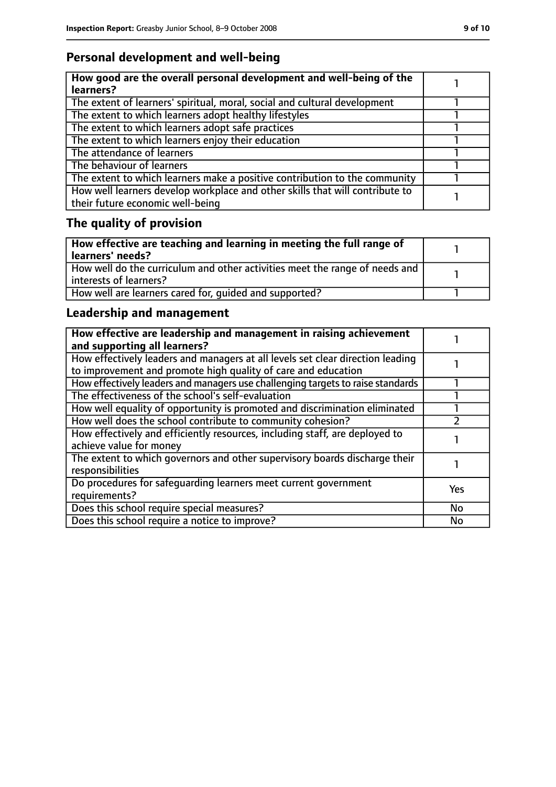# **Personal development and well-being**

| How good are the overall personal development and well-being of the<br>learners?                                 |  |
|------------------------------------------------------------------------------------------------------------------|--|
| The extent of learners' spiritual, moral, social and cultural development                                        |  |
| The extent to which learners adopt healthy lifestyles                                                            |  |
| The extent to which learners adopt safe practices                                                                |  |
| The extent to which learners enjoy their education                                                               |  |
| The attendance of learners                                                                                       |  |
| The behaviour of learners                                                                                        |  |
| The extent to which learners make a positive contribution to the community                                       |  |
| How well learners develop workplace and other skills that will contribute to<br>their future economic well-being |  |

# **The quality of provision**

| How effective are teaching and learning in meeting the full range of<br>learners' needs?              |  |
|-------------------------------------------------------------------------------------------------------|--|
| How well do the curriculum and other activities meet the range of needs and<br>interests of learners? |  |
| How well are learners cared for, quided and supported?                                                |  |

# **Leadership and management**

| How effective are leadership and management in raising achievement<br>and supporting all learners?                                              |           |
|-------------------------------------------------------------------------------------------------------------------------------------------------|-----------|
| How effectively leaders and managers at all levels set clear direction leading<br>to improvement and promote high quality of care and education |           |
| How effectively leaders and managers use challenging targets to raise standards                                                                 |           |
| The effectiveness of the school's self-evaluation                                                                                               |           |
| How well equality of opportunity is promoted and discrimination eliminated                                                                      |           |
| How well does the school contribute to community cohesion?                                                                                      |           |
| How effectively and efficiently resources, including staff, are deployed to<br>achieve value for money                                          |           |
| The extent to which governors and other supervisory boards discharge their<br>responsibilities                                                  |           |
| Do procedures for safequarding learners meet current government<br>requirements?                                                                | Yes       |
| Does this school require special measures?                                                                                                      | <b>No</b> |
| Does this school require a notice to improve?                                                                                                   | <b>No</b> |